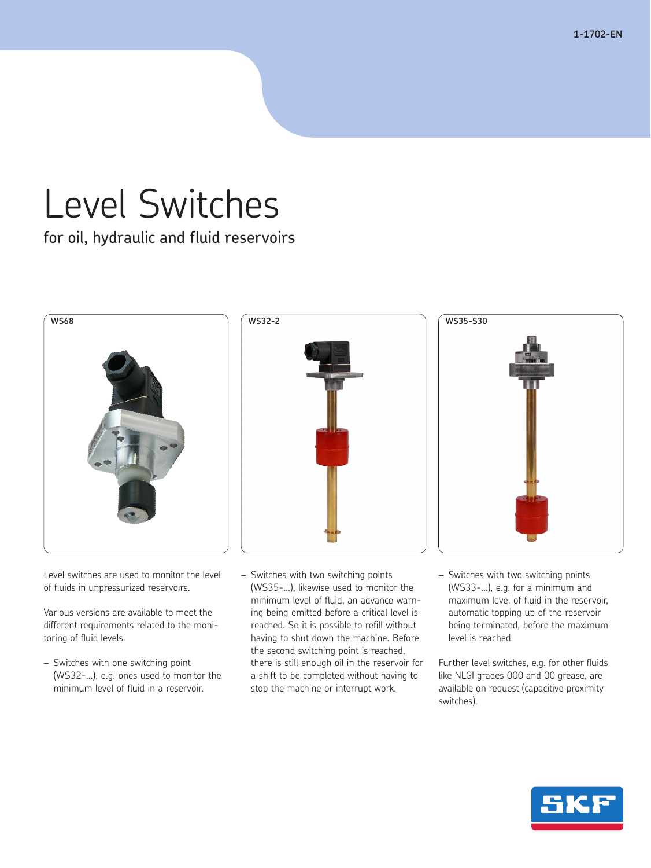**1-1702-EN**

# Level Switches

for oil, hydraulic and fluid reservoirs



Level switches are used to monitor the level of fluids in unpressurized reservoirs.

Various versions are available to meet the different requirements related to the monitoring of fluid levels.

– Switches with one switching point (WS32-…), e.g. ones used to monitor the minimum level of fluid in a reservoir.





- Switches with two switching points (WS35-…), likewise used to monitor the minimum level of fluid, an advance warning being emitted before a critical level is reached. So it is possible to refill without having to shut down the machine. Before the second switching point is reached, there is still enough oil in the reservoir for a shift to be completed without having to stop the machine or interrupt work.
- (WS33-…), e.g. for a minimum and maximum level of fluid in the reservoir, automatic topping up of the reservoir being terminated, before the maximum level is reached.

– Switches with two switching points

Further level switches, e.g. for other fluids like NLGI grades 000 and 00 grease, are available on request (capacitive proximity switches).

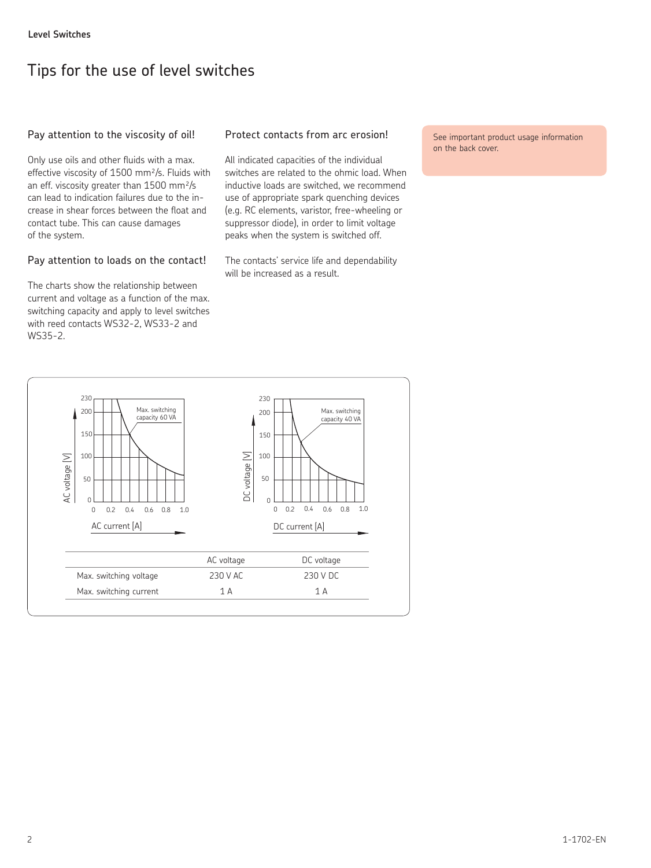# Tips for the use of level switches

#### Pay attention to the viscosity of oil!

Only use oils and other fluids with a max. effective viscosity of 1500 mm²/s. Fluids with an eff. viscosity greater than 1500 mm²/s can lead to indication failures due to the increase in shear forces between the float and contact tube. This can cause damages of the system.

#### Pay attention to loads on the contact!

The charts show the relationship between current and voltage as a function of the max. switching capacity and apply to level switches with reed contacts WS32-2, WS33-2 and WS35-2.

#### Protect contacts from arc erosion!

All indicated capacities of the individual switches are related to the ohmic load. When inductive loads are switched, we recommend use of appropriate spark quenching devices (e.g. RC elements, varistor, free-wheeling or suppressor diode), in order to limit voltage peaks when the system is switched off.

The contacts' service life and dependability will be increased as a result.

See important product usage information on the back cover.

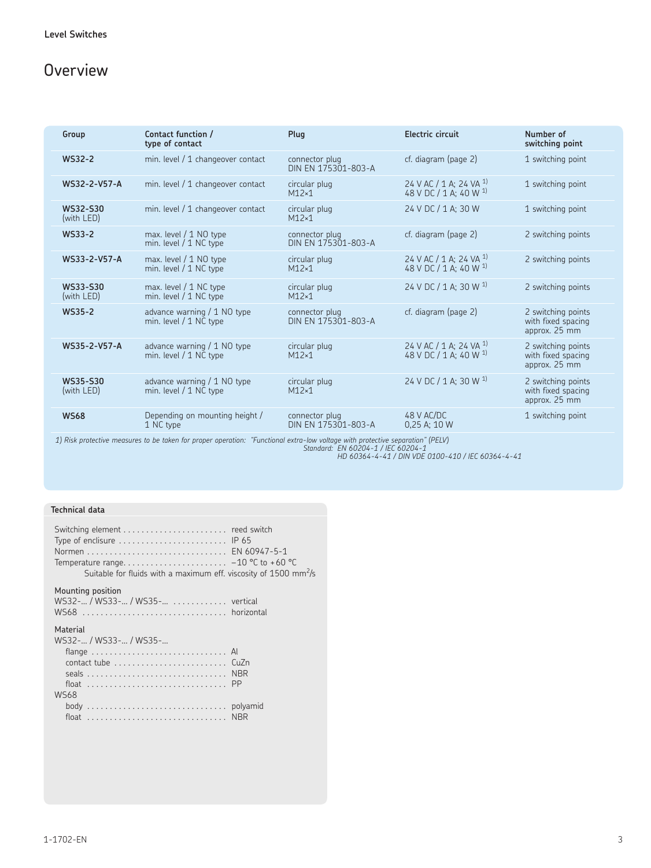# **Overview**

| Group                                                                                                                          | Contact function /<br>type of contact                 | Plug                                  | Electric circuit                                                        | Number of<br>switching point                              |  |  |
|--------------------------------------------------------------------------------------------------------------------------------|-------------------------------------------------------|---------------------------------------|-------------------------------------------------------------------------|-----------------------------------------------------------|--|--|
| WS32-2                                                                                                                         | min. level / 1 changeover contact                     | connector plug<br>DIN EN 175301-803-A | cf. diagram (page 2)                                                    | 1 switching point                                         |  |  |
| WS32-2-V57-A                                                                                                                   | min. level / 1 changeover contact                     | circular plug<br>$M12\times1$         | 24 V AC / 1 A; 24 VA <sup>1)</sup><br>48 V DC / 1 A; 40 W <sup>1)</sup> | 1 switching point                                         |  |  |
| WS32-S30<br>(with LED)                                                                                                         | min. level / 1 changeover contact                     | circular plug<br>$M12\times1$         | 24 V DC / 1 A; 30 W                                                     | 1 switching point                                         |  |  |
| <b>WS33-2</b>                                                                                                                  | max. level / 1 NO type<br>min. level / 1 NC type      | connector plug<br>DIN EN 175301-803-A | cf. diagram (page 2)                                                    | 2 switching points                                        |  |  |
| WS33-2-V57-A                                                                                                                   | max. level / 1 NO type<br>min. level / 1 NC type      | circular plug<br>$M12\times1$         | 24 V AC / 1 A; 24 VA <sup>1)</sup><br>48 V DC / 1 A; 40 W <sup>1)</sup> | 2 switching points                                        |  |  |
| WS33-S30<br>(with LED)                                                                                                         | max. level / 1 NC type<br>min. level / 1 NC type      | circular plug<br>$M12\times1$         | 24 V DC / 1 A; 30 W $^{1}$ )                                            | 2 switching points                                        |  |  |
| <b>WS35-2</b>                                                                                                                  | advance warning / 1 NO type<br>min. level / 1 NC type | connector plug<br>DIN EN 175301-803-A | cf. diagram (page 2)                                                    | 2 switching points<br>with fixed spacing<br>approx. 25 mm |  |  |
| WS35-2-V57-A                                                                                                                   | advance warning / 1 NO type<br>min. level / 1 NC type | circular plug<br>$M12\times1$         | 24 V AC / 1 A; 24 VA <sup>1)</sup><br>48 V DC / 1 A; 40 W <sup>1)</sup> | 2 switching points<br>with fixed spacing<br>approx. 25 mm |  |  |
| WS35-S30<br>(with LED)                                                                                                         | advance warning / 1 NO type<br>min. level / 1 NC type | circular plug<br>$M12\times1$         | 24 V DC / 1 A; 30 W <sup>1)</sup>                                       | 2 switching points<br>with fixed spacing<br>approx. 25 mm |  |  |
| <b>WS68</b>                                                                                                                    | Depending on mounting height /<br>1 NC type           | connector plug<br>DIN EN 175301-803-A | 48 V AC/DC<br>$0,25$ A; 10 W                                            | 1 switching point                                         |  |  |
| 1) Dick protective measures to be taken for prepar aperation: "Eunctional outro Jou veltoge with protective congration" (DEUA) |                                                       |                                       |                                                                         |                                                           |  |  |

1) Risk protective measures to be taken for proper operation: "Functional extra-low voltage with protective separation" (PELV)<br>Standard: EN 60204-1 / IEC 60204-1<br>HD 60364-4-41 / DIN VDE 0100-410 / IEC 60364-4-41

#### **Technical data**

| Type of enclisure $\dots\dots\dots\dots\dots\dots\dots$ . IP 65<br>Suitable for fluids with a maximum eff. viscosity of 1500 mm <sup>2</sup> /s |  |
|-------------------------------------------------------------------------------------------------------------------------------------------------|--|
| Mounting position<br>WS32- / WS33- / WS35- vertical                                                                                             |  |
| Material<br>WS32- / WS33- / WS35-<br>contact tube  CuZn<br><b>WS68</b>                                                                          |  |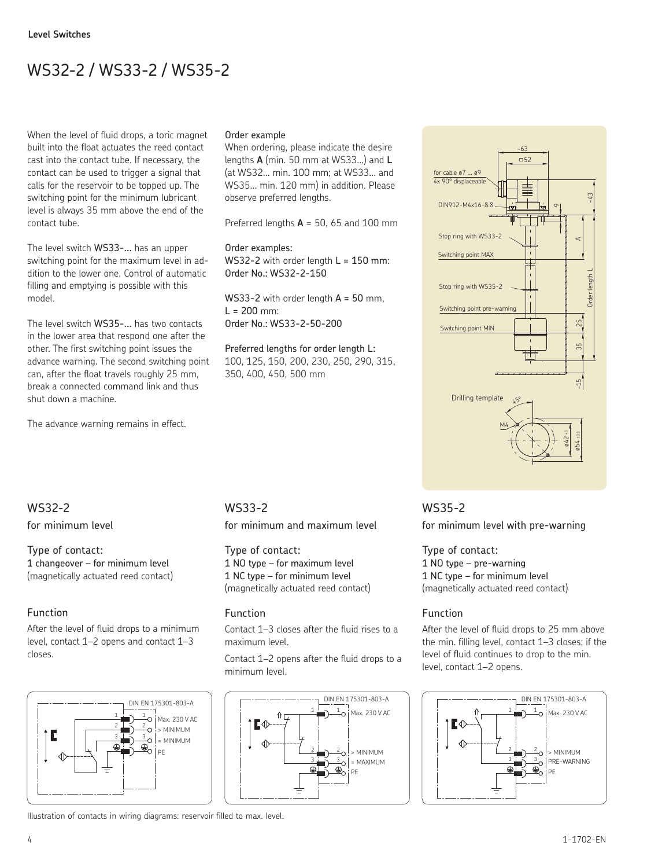# WS32-2 / WS33-2 / WS35-2

When the level of fluid drops, a toric magnet built into the float actuates the reed contact cast into the contact tube. If necessary, the contact can be used to trigger a signal that calls for the reservoir to be topped up. The switching point for the minimum lubricant level is always 35 mm above the end of the contact tube.

The level switch WS33-... has an upper switching point for the maximum level in addition to the lower one. Control of automatic filling and emptying is possible with this model.

The level switch WS35-... has two contacts in the lower area that respond one after the other. The first switching point issues the advance warning. The second switching point can, after the float travels roughly 25 mm, break a connected command link and thus shut down a machine.

The advance warning remains in effect.

#### Order example

When ordering, please indicate the desire lengths **A** (min. 50 mm at WS33...) and **L** (at WS32... min. 100 mm; at WS33... and WS35... min. 120 mm) in addition. Please observe preferred lengths.

Preferred lengths **A** = 50, 65 and 100 mm

Order examples: WS32-2 with order length  $L = 150$  mm: Order No.: WS32-2-150

WS33-2 with order length  $A = 50$  mm.  $L = 200$  mm: Order No.: WS33-2-50-200

Preferred lengths for order length L: 100, 125, 150, 200, 230, 250, 290, 315, 350, 400, 450, 500 mm



# WS32-2

for minimum level

Type of contact: 1 changeover – for minimum level (magnetically actuated reed contact)

# Function

After the level of fluid drops to a minimum level, contact 1–2 opens and contact 1–3 closes.



WS33-2

for minimum and maximum level

Type of contact: 1 NO type – for maximum level 1 NC type – for minimum level (magnetically actuated reed contact)

## Function

Contact 1–3 closes after the fluid rises to a maximum level.

Contact 1–2 opens after the fluid drops to a minimum level.



WS35-2 for minimum level with pre-warning

Type of contact: 1 NO type – pre-warning 1 NC type – for minimum level (magnetically actuated reed contact)

# Function

After the level of fluid drops to 25 mm above the min. filling level, contact 1–3 closes; if the level of fluid continues to drop to the min. level, contact 1–2 opens.



Illustration of contacts in wiring diagrams: reservoir filled to max. level.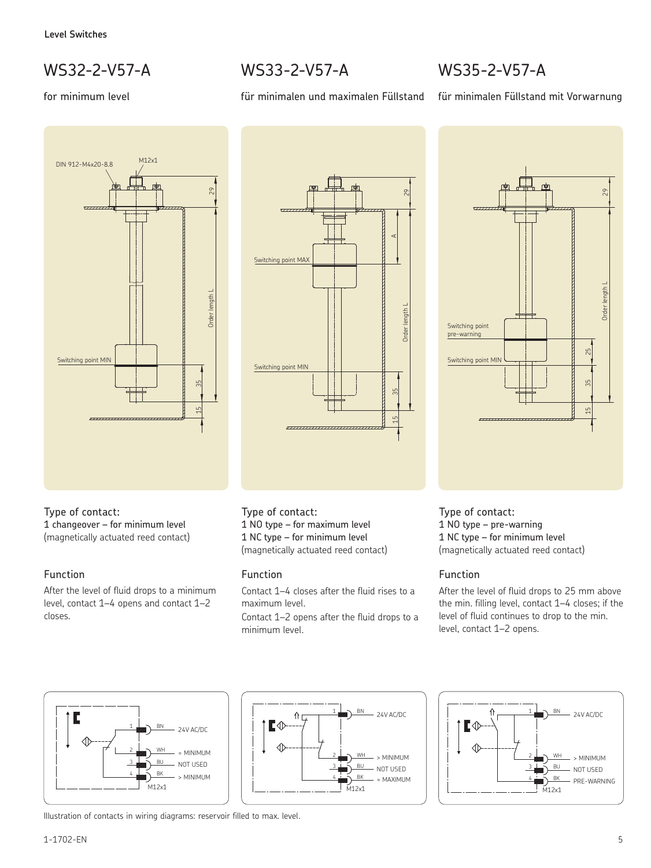# WS32-2-V57-A

## for minimum level





für minimalen und maximalen Füllstand

WS33-2-V57-A

## Type of contact:

1 changeover – for minimum level (magnetically actuated reed contact)

## Function

After the level of fluid drops to a minimum level, contact 1–4 opens and contact 1–2 closes.

## Type of contact:

1 NO type – for maximum level 1 NC type – for minimum level (magnetically actuated reed contact)

## Function

Contact 1–4 closes after the fluid rises to a maximum level.

Contact 1–2 opens after the fluid drops to a minimum level.



für minimalen Füllstand mit Vorwarnung



Type of contact: 1 NO type – pre-warning 1 NC type – for minimum level (magnetically actuated reed contact)

# Function

After the level of fluid drops to 25 mm above the min. filling level, contact 1–4 closes; if the level of fluid continues to drop to the min. level, contact 1–2 opens.







Illustration of contacts in wiring diagrams: reservoir filled to max. level.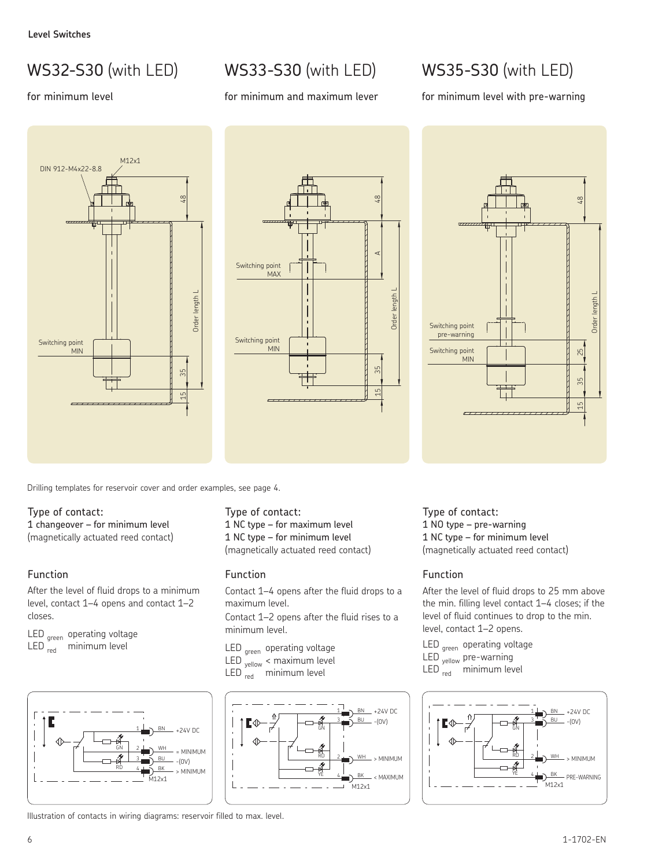# WS32-S30 (with LED)

## for minimum level

# WS33-S30 (with LED)

#### for minimum and maximum lever

# WS35-S30 (with LED)

for minimum level with pre-warning





Drilling templates for reservoir cover and order examples, see page 4.

#### Type of contact:

1 changeover – for minimum level (magnetically actuated reed contact)

## Function

After the level of fluid drops to a minimum level, contact 1–4 opens and contact 1–2 closes.

LED <sub>green</sub> operating voltage  $LED_{red}$  minimum level



Type of contact:

1 NC type – for maximum level 1 NC type – for minimum level (magnetically actuated reed contact)

#### Function

Contact 1–4 opens after the fluid drops to a maximum level.

Contact 1–2 opens after the fluid rises to a minimum level.

- LED <sub>areen</sub> operating voltage LED <sub>yellow</sub> < maximum level
- LED <sub>red</sub> minimum level



Type of contact: 1 NO type – pre-warning 1 NC type – for minimum level (magnetically actuated reed contact)

## Function

Switching point pre-warning Switching point MIN

After the level of fluid drops to 25 mm above the min. filling level contact 1–4 closes; if the level of fluid continues to drop to the min. level, contact 1–2 opens.

LED <sub>green</sub> operating voltage

- LED <sub>yellow</sub> pre-warning
- LED  $_{\text{red}}$  minimum level



Illustration of contacts in wiring diagrams: reservoir filled to max. level.

15 48 25 35 Order length L

 $\frac{8}{4}$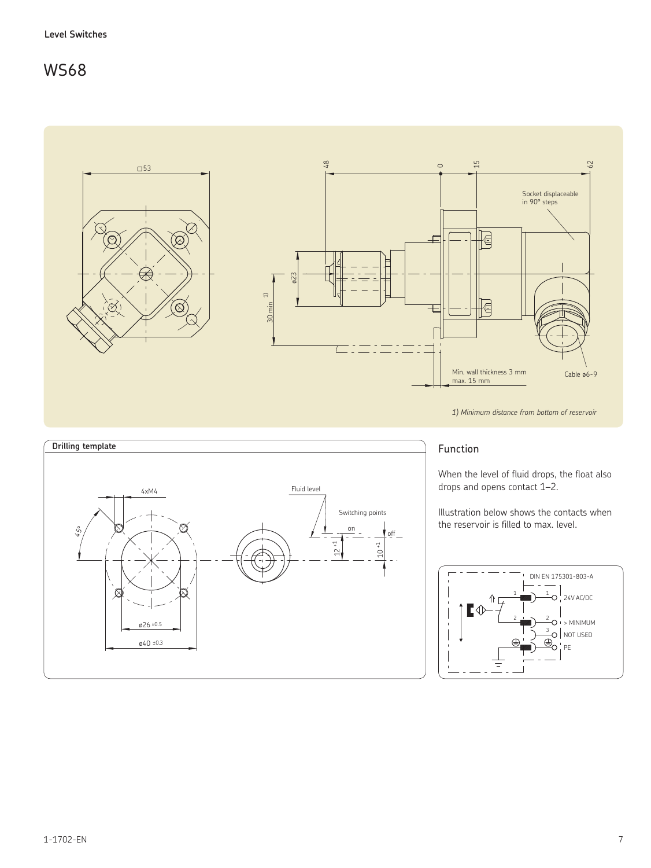

*1) Minimum distance from bottom of reservoir*



## Function

When the level of fluid drops, the float also drops and opens contact 1–2.

Illustration below shows the contacts when the reservoir is filled to max. level.